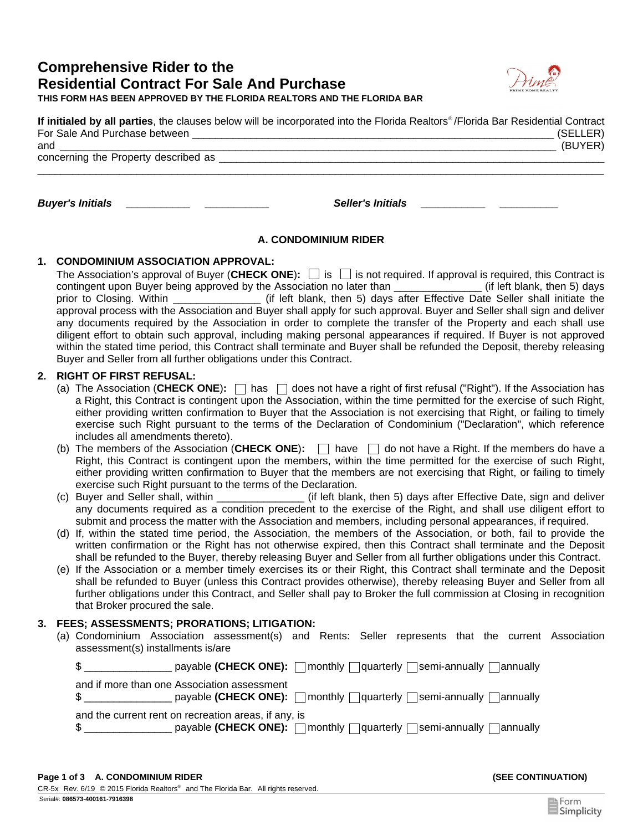# **Comprehensive Rider to the Residential Contract For Sale And Purchase THIS FORM HAS BEEN APPROVED BY THE FLORIDA REALTORS AND THE FLORIDA BAR**



| If initialed by all parties, the clauses below will be incorporated into the Florida Realtors®/Florida Bar Residential Contract |          |
|---------------------------------------------------------------------------------------------------------------------------------|----------|
| For Sale And Purchase between                                                                                                   | (SELLER) |
| and                                                                                                                             | (BUYER)  |

concerning the Property described as

*Buyer's Initials \_\_\_\_\_\_\_\_\_\_\_ \_\_\_\_\_\_\_\_\_\_\_ Seller's Initials \_\_\_\_\_\_\_\_\_\_\_ \_\_\_\_\_\_\_\_\_\_* 

# **A. CONDOMINIUM RIDER**

 $\_$  ,  $\_$  ,  $\_$  ,  $\_$  ,  $\_$  ,  $\_$  ,  $\_$  ,  $\_$  ,  $\_$  ,  $\_$  ,  $\_$  ,  $\_$  ,  $\_$  ,  $\_$  ,  $\_$  ,  $\_$  ,  $\_$  ,  $\_$  ,  $\_$  ,  $\_$  ,  $\_$  ,  $\_$  ,  $\_$  ,  $\_$  ,  $\_$  ,  $\_$  ,  $\_$  ,  $\_$  ,  $\_$  ,  $\_$  ,  $\_$  ,  $\_$  ,  $\_$  ,  $\_$  ,  $\_$  ,  $\_$  ,  $\_$  ,

## **1. CONDOMINIUM ASSOCIATION APPROVAL:**

The Association's approval of Buyer (**CHECK ONE**)**:** is is not required. If approval is required, this Contract is contingent upon Buyer being approved by the Association no later than \_\_\_\_\_\_\_\_\_\_\_\_\_\_\_\_ (if left blank, then 5) days prior to Closing. Within **the contract of the state of the state** of the the shall initiate the shall initiate the approval process with the Association and Buyer shall apply for such approval. Buyer and Seller shall sign and deliver any documents required by the Association in order to complete the transfer of the Property and each shall use diligent effort to obtain such approval, including making personal appearances if required. If Buyer is not approved within the stated time period, this Contract shall terminate and Buyer shall be refunded the Deposit, thereby releasing Buyer and Seller from all further obligations under this Contract.

## **2. RIGHT OF FIRST REFUSAL:**

- (a) The Association (**CHECK ONE**)**:**  $□$  has  $□$  does not have a right of first refusal ("Right"). If the Association has a Right, this Contract is contingent upon the Association, within the time permitted for the exercise of such Right, either providing written confirmation to Buyer that the Association is not exercising that Right, or failing to timely exercise such Right pursuant to the terms of the Declaration of Condominium ("Declaration", which reference includes all amendments thereto).
- (b) The members of the Association (**CHECK ONE**)**:**  $\Box$  have  $\Box$  do not have a Right. If the members do have a Right, this Contract is contingent upon the members, within the time permitted for the exercise of such Right, either providing written confirmation to Buyer that the members are not exercising that Right, or failing to timely exercise such Right pursuant to the terms of the Declaration.
- Luck if left blank, then 5) days after Effective Date, sign and deliver any documents required as a condition precedent to the exercise of the Right, and shall use diligent effort to submit and process the matter with the Association and members, including personal appearances, if required. (c) Buyer and Seller shall, within
- (d) If, within the stated time period, the Association, the members of the Association, or both, fail to provide the written confirmation or the Right has not otherwise expired, then this Contract shall terminate and the Deposit shall be refunded to the Buyer, thereby releasing Buyer and Seller from all further obligations under this Contract.
- (e) If the Association or a member timely exercises its or their Right, this Contract shall terminate and the Deposit shall be refunded to Buyer (unless this Contract provides otherwise), thereby releasing Buyer and Seller from all further obligations under this Contract, and Seller shall pay to Broker the full commission at Closing in recognition that Broker procured the sale.

## **3. FEES; ASSESSMENTS; PRORATIONS; LITIGATION:**

(a) Condominium Association assessment(s) and Rents: Seller represents that the current Association assessment(s) installments is/are

| \$                                                   | payable (CHECK ONE): $\Box$ monthly $\Box$ quarterly $\Box$ semi-annually $\Box$ annually                                |
|------------------------------------------------------|--------------------------------------------------------------------------------------------------------------------------|
| and if more than one Association assessment          | $\text{\$}$ __________________ payable (CHECK ONE): $\Box$ monthly $\Box$ quarterly $\Box$ semi-annually $\Box$ annually |
| and the current rent on recreation areas, if any, is | $\frac{1}{2}$ payable (CHECK ONE): $\Box$ monthly $\Box$ guarterly $\Box$ semi-annually $\Box$ annually                  |

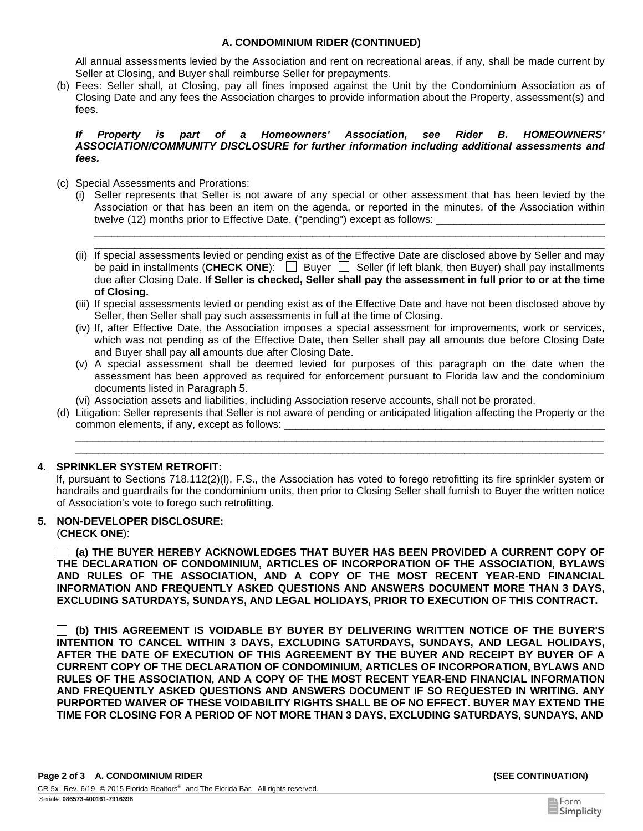### **A. CONDOMINIUM RIDER (CONTINUED)**

All annual assessments levied by the Association and rent on recreational areas, if any, shall be made current by Seller at Closing, and Buyer shall reimburse Seller for prepayments.

Fees: Seller shall, at Closing, pay all fines imposed against the Unit by the Condominium Association as of (b) Closing Date and any fees the Association charges to provide information about the Property, assessment(s) and fees.

#### *If Property is part of a Homeowners' Association, see Rider B. HOMEOWNERS' ASSOCIATION/COMMUNITY DISCLOSURE for further information including additional assessments and fees.*

- (c) Special Assessments and Prorations:
	- (i) Seller represents that Seller is not aware of any special or other assessment that has been levied by the Association or that has been an item on the agenda, or reported in the minutes, of the Association within twelve (12) months prior to Effective Date, ("pending") except as follows:

\_\_\_\_\_\_\_\_\_\_\_\_\_\_\_\_\_\_\_\_\_\_\_\_\_\_\_\_\_\_\_\_\_\_\_\_\_\_\_\_\_\_\_\_\_\_\_\_\_\_\_\_\_\_\_\_\_\_\_\_\_\_\_\_\_\_\_\_\_\_\_\_\_\_\_\_\_\_\_\_\_\_\_\_\_\_\_\_\_

- \_\_\_\_\_\_\_\_\_\_\_\_\_\_\_\_\_\_\_\_\_\_\_\_\_\_\_\_\_\_\_\_\_\_\_\_\_\_\_\_\_\_\_\_\_\_\_\_\_\_\_\_\_\_\_\_\_\_\_\_\_\_\_\_\_\_\_\_\_\_\_\_\_\_\_\_\_\_\_\_\_\_\_\_\_\_\_\_\_ (ii) If special assessments levied or pending exist as of the Effective Date are disclosed above by Seller and may be paid in installments (**CHECK ONE**):  $\Box$  Buyer  $\Box$  Seller (if left blank, then Buyer) shall pay installments due after Closing Date. **If Seller is checked, Seller shall pay the assessment in full prior to or at the time of Closing.**
- (iii) If special assessments levied or pending exist as of the Effective Date and have not been disclosed above by Seller, then Seller shall pay such assessments in full at the time of Closing.
- (iv) If, after Effective Date, the Association imposes a special assessment for improvements, work or services, which was not pending as of the Effective Date, then Seller shall pay all amounts due before Closing Date and Buyer shall pay all amounts due after Closing Date.
- (v) A special assessment shall be deemed levied for purposes of this paragraph on the date when the assessment has been approved as required for enforcement pursuant to Florida law and the condominium documents listed in Paragraph 5.
- (vi) Association assets and liabilities, including Association reserve accounts, shall not be prorated.
- (d) Litigation: Seller represents that Seller is not aware of pending or anticipated litigation affecting the Property or the common elements, if any, except as follows:

\_\_\_\_\_\_\_\_\_\_\_\_\_\_\_\_\_\_\_\_\_\_\_\_\_\_\_\_\_\_\_\_\_\_\_\_\_\_\_\_\_\_\_\_\_\_\_\_\_\_\_\_\_\_\_\_\_\_\_\_\_\_\_\_\_\_\_\_\_\_\_\_\_\_\_\_\_\_\_\_\_\_\_\_\_\_\_\_\_\_\_  $\bot$  , and the set of the set of the set of the set of the set of the set of the set of the set of the set of the set of the set of the set of the set of the set of the set of the set of the set of the set of the set of t

### **4. SPRINKLER SYSTEM RETROFIT:**

If, pursuant to Sections 718.112(2)(l), F.S., the Association has voted to forego retrofitting its fire sprinkler system or handrails and guardrails for the condominium units, then prior to Closing Seller shall furnish to Buyer the written notice of Association's vote to forego such retrofitting.

### **5. NON-DEVELOPER DISCLOSURE:**

(**CHECK ONE**):

**(a) THE BUYER HEREBY ACKNOWLEDGES THAT BUYER HAS BEEN PROVIDED A CURRENT COPY OF THE DECLARATION OF CONDOMINIUM, ARTICLES OF INCORPORATION OF THE ASSOCIATION, BYLAWS AND RULES OF THE ASSOCIATION, AND A COPY OF THE MOST RECENT YEAR-END FINANCIAL INFORMATION AND FREQUENTLY ASKED QUESTIONS AND ANSWERS DOCUMENT MORE THAN 3 DAYS, EXCLUDING SATURDAYS, SUNDAYS, AND LEGAL HOLIDAYS, PRIOR TO EXECUTION OF THIS CONTRACT.** 

**(b) THIS AGREEMENT IS VOIDABLE BY BUYER BY DELIVERING WRITTEN NOTICE OF THE BUYER'S INTENTION TO CANCEL WITHIN 3 DAYS, EXCLUDING SATURDAYS, SUNDAYS, AND LEGAL HOLIDAYS, AFTER THE DATE OF EXECUTION OF THIS AGREEMENT BY THE BUYER AND RECEIPT BY BUYER OF A CURRENT COPY OF THE DECLARATION OF CONDOMINIUM, ARTICLES OF INCORPORATION, BYLAWS AND RULES OF THE ASSOCIATION, AND A COPY OF THE MOST RECENT YEAR-END FINANCIAL INFORMATION AND FREQUENTLY ASKED QUESTIONS AND ANSWERS DOCUMENT IF SO REQUESTED IN WRITING. ANY PURPORTED WAIVER OF THESE VOIDABILITY RIGHTS SHALL BE OF NO EFFECT. BUYER MAY EXTEND THE TIME FOR CLOSING FOR A PERIOD OF NOT MORE THAN 3 DAYS, EXCLUDING SATURDAYS, SUNDAYS, AND**